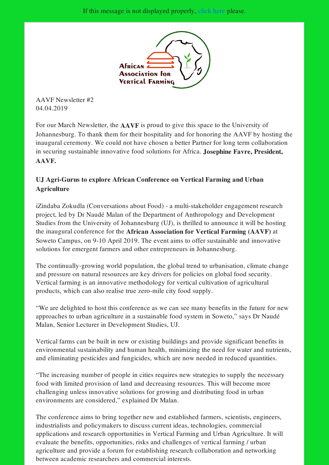

AAVF Newsletter #2 04.04.2019

For our March Newsletter, the AAVF is proud to give this space to the University of Johannesburg. To thank them for their hospitality and for honoring the AAVF by hosting the inaugural ceremony. We could not have chosen a better Partner for long term collaboration in securing sustainable innovative food solutions for Africa. Josephine Favre, President, AAVF.

## UJ Agri-Gurus to explore African Conference on Vertical Farming and Urban Agriculture

iZindaba Zokudla (Conversations about Food) - a multi-stakeholder engagement research project, led by Dr Naudé Malan of the Department of Anthropology and Development Studies from the University of Johannesburg (UJ), is thrilled to announce it will be hosting the inaugural conference for the African Association for Vertical Farming (AAVF) at Soweto Campus, on 9-10 April 2019. The event aims to offer sustainable and innovative solutions for emergent farmers and other entrepreneurs in Johannesburg.

The continually-growing world population, the global trend to urbanisation, climate change and pressure on natural resources are key drivers for policies on global food security. Vertical farming is an innovative methodology for vertical cultivation of agricultural products, which can also realise true zero-mile city food supply.

"We are delighted to host this conference as we can see many benefits in the future for new approaches to urban agriculture in a sustainable food system in Soweto," says Dr Naudé Malan, Senior Lecturer in Development Studies, UJ.

Vertical farms can be built in new or existing buildings and provide significant benefits in environmental sustainability and human health, minimizing the need for water and nutrients, and eliminating pesticides and fungicides, which are now needed in reduced quantities.

"The increasing number of people in cities requires new strategies to supply the necessary food with limited provision of land and decreasing resources. This will become more challenging unless innovative solutions for growing and distributing food in urban environments are considered," explained Dr Malan.

The conference aims to bring together new and established farmers, scientists, engineers, industrialists and policymakers to discuss current ideas, technologies, commercial applications and research opportunities in Vertical Farming and Urban Agriculture. It will evaluate the benefits, opportunities, risks and challenges of vertical farming / urban agriculture and provide a forum for establishing research collaboration and networking between academic researchers and commercial interests.